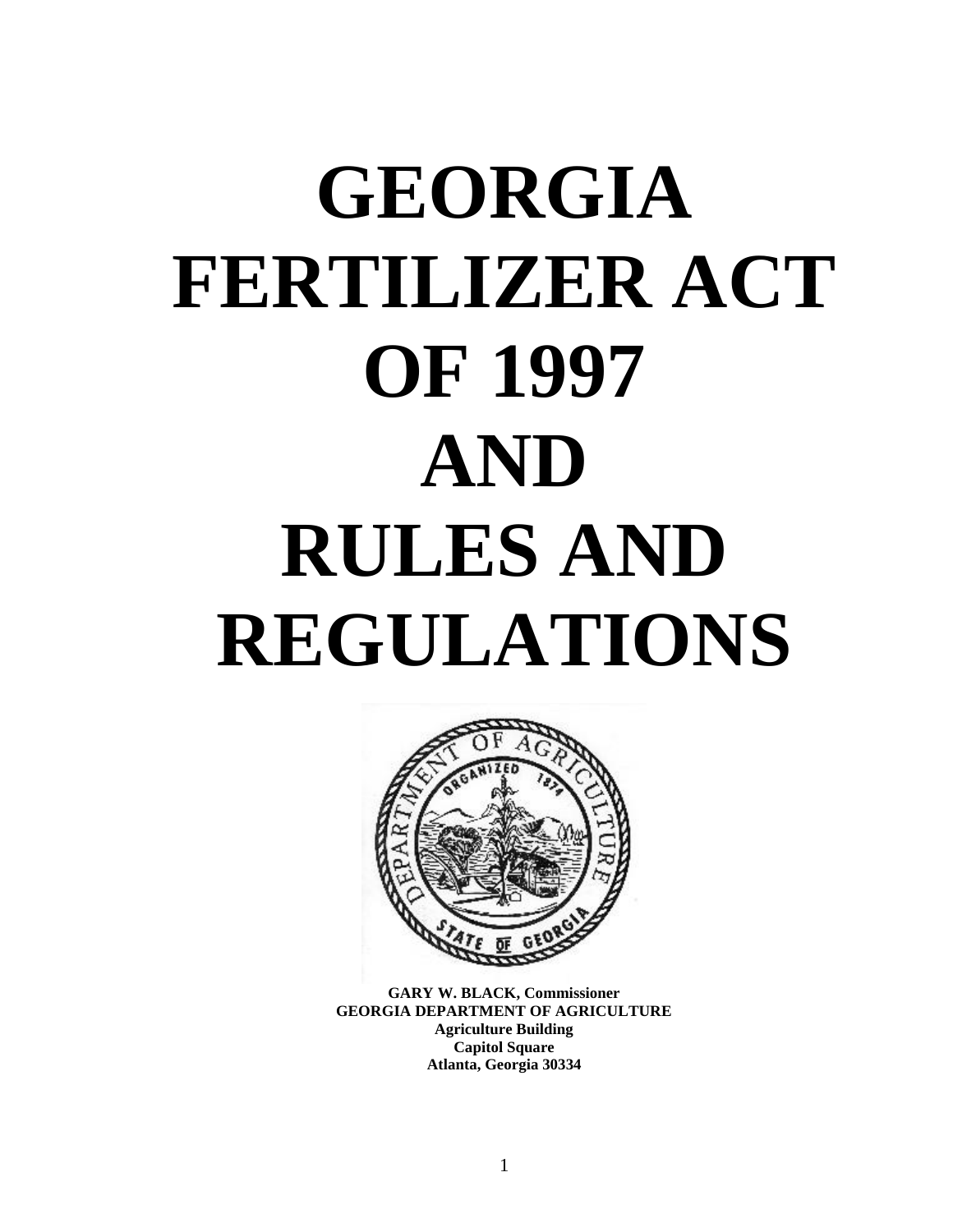# **GEORGIA FERTILIZER ACT OF 1997 AND RULES AND REGULATIONS**



**GARY W. BLACK, Commissioner GEORGIA DEPARTMENT OF AGRICULTURE Agriculture Building Capitol Square Atlanta, Georgia 30334**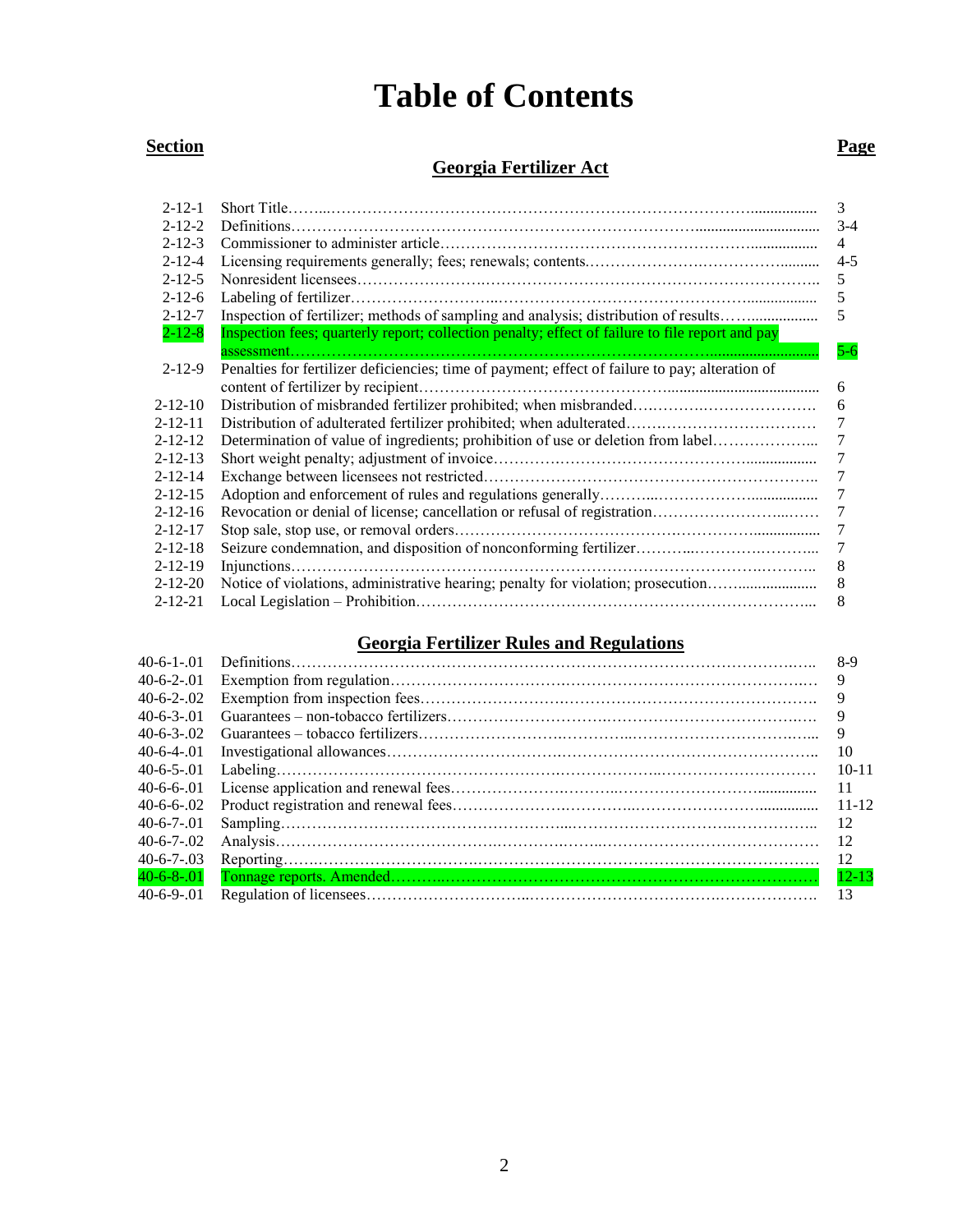## **Table of Contents**

#### **Section Page**

### **Georgia Fertilizer Act**

| $2 - 12 - 1$  | Short Title.                                                                                    | 3       |
|---------------|-------------------------------------------------------------------------------------------------|---------|
|               |                                                                                                 |         |
| $2 - 12 - 2$  | Definitions.                                                                                    | $3 - 4$ |
| $2 - 12 - 3$  |                                                                                                 | 4       |
| $2 - 12 - 4$  |                                                                                                 | $4 - 5$ |
| $2 - 12 - 5$  |                                                                                                 | 5       |
| $2 - 12 - 6$  | Labeling of fertilizer.                                                                         | 5       |
| $2 - 12 - 7$  | Inspection of fertilizer; methods of sampling and analysis; distribution of results             | 5       |
| $2 - 12 - 8$  | Inspection fees; quarterly report; collection penalty; effect of failure to file report and pay |         |
|               |                                                                                                 | $5-6$   |
| $2 - 12 - 9$  | Penalties for fertilizer deficiencies; time of payment; effect of failure to pay; alteration of |         |
|               | content of fertilizer by recipient.                                                             | 6       |
| $2 - 12 - 10$ |                                                                                                 | 6       |
| $2 - 12 - 11$ |                                                                                                 |         |
| $2 - 12 - 12$ | Determination of value of ingredients; prohibition of use or deletion from label                |         |
| $2 - 12 - 13$ |                                                                                                 |         |
| $2 - 12 - 14$ | Exchange between licensees not restricted                                                       |         |
| $2 - 12 - 15$ |                                                                                                 |         |
| $2 - 12 - 16$ |                                                                                                 |         |
| $2 - 12 - 17$ | Stop sale, stop use, or removal orders                                                          |         |
| $2 - 12 - 18$ | Seizure condemnation, and disposition of nonconforming fertilizer                               | 7       |
| $2 - 12 - 19$ |                                                                                                 | 8       |
| $2 - 12 - 20$ | Notice of violations, administrative hearing; penalty for violation; prosecution                | 8       |
| $2 - 12 - 21$ | Local Legislation – Prohibition.                                                                | 8       |

#### **Georgia Fertilizer Rules and Regulations**

| $40 - 6 - 1 - 01$   | 8-9       |
|---------------------|-----------|
| $40-6-2-01$         | 9         |
| $40-6-2-02$         |           |
| $40-6-3-01$         |           |
| $40-6-3-02$         |           |
| $40-6-4-01$         | 10        |
| $40-6-5-01$         | $10-11$   |
| $40-6-6-01$         | 11        |
| $40-6-6-02$         | $11 - 12$ |
| $40-6-7-01$         | 12        |
| $40-6-7-02$         | 12        |
| $40 - 6 - 7 - 0.03$ | 12        |
| $40 - 6 - 8 - 01$   | $12 - 13$ |
| $40-6-9-01$         |           |
|                     |           |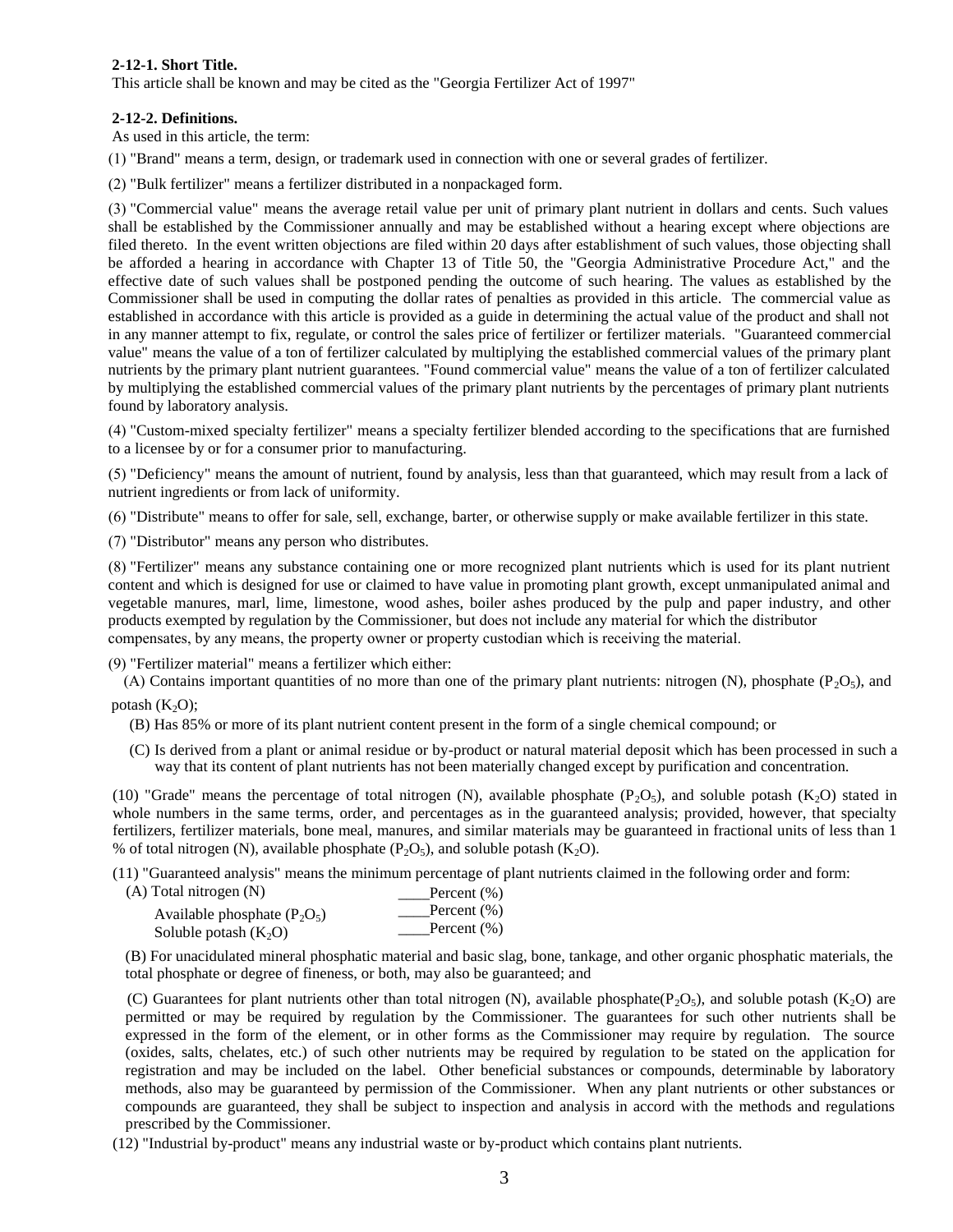#### **2-12-1. Short Title.**

This article shall be known and may be cited as the "Georgia Fertilizer Act of 1997"

#### **2-12-2. Definitions.**

As used in this article, the term:

(1) "Brand" means a term, design, or trademark used in connection with one or several grades of fertilizer.

(2) "Bulk fertilizer" means a fertilizer distributed in a nonpackaged form.

(3) "Commercial value" means the average retail value per unit of primary plant nutrient in dollars and cents. Such values shall be established by the Commissioner annually and may be established without a hearing except where objections are filed thereto. In the event written objections are filed within 20 days after establishment of such values, those objecting shall be afforded a hearing in accordance with Chapter 13 of Title 50, the "Georgia Administrative Procedure Act," and the effective date of such values shall be postponed pending the outcome of such hearing. The values as established by the Commissioner shall be used in computing the dollar rates of penalties as provided in this article. The commercial value as established in accordance with this article is provided as a guide in determining the actual value of the product and shall not in any manner attempt to fix, regulate, or control the sales price of fertilizer or fertilizer materials. "Guaranteed commercial value" means the value of a ton of fertilizer calculated by multiplying the established commercial values of the primary plant nutrients by the primary plant nutrient guarantees. "Found commercial value" means the value of a ton of fertilizer calculated by multiplying the established commercial values of the primary plant nutrients by the percentages of primary plant nutrients found by laboratory analysis.

(4) "Custom-mixed specialty fertilizer" means a specialty fertilizer blended according to the specifications that are furnished to a licensee by or for a consumer prior to manufacturing.

(5) "Deficiency" means the amount of nutrient, found by analysis, less than that guaranteed, which may result from a lack of nutrient ingredients or from lack of uniformity.

(6) "Distribute" means to offer for sale, sell, exchange, barter, or otherwise supply or make available fertilizer in this state.

(7) "Distributor" means any person who distributes.

(8) "Fertilizer" means any substance containing one or more recognized plant nutrients which is used for its plant nutrient content and which is designed for use or claimed to have value in promoting plant growth, except unmanipulated animal and vegetable manures, marl, lime, limestone, wood ashes, boiler ashes produced by the pulp and paper industry, and other products exempted by regulation by the Commissioner, but does not include any material for which the distributor compensates, by any means, the property owner or property custodian which is receiving the material.

(9) "Fertilizer material" means a fertilizer which either:

(A) Contains important quantities of no more than one of the primary plant nutrients: nitrogen (N), phosphate ( $P_2O_5$ ), and potash  $(K_2O)$ ;

- (B) Has 85% or more of its plant nutrient content present in the form of a single chemical compound; or
- (C) Is derived from a plant or animal residue or by-product or natural material deposit which has been processed in such a way that its content of plant nutrients has not been materially changed except by purification and concentration.

(10) "Grade" means the percentage of total nitrogen (N), available phosphate (P<sub>2</sub>O<sub>5</sub>), and soluble potash (K<sub>2</sub>O) stated in whole numbers in the same terms, order, and percentages as in the guaranteed analysis; provided, however, that specialty fertilizers, fertilizer materials, bone meal, manures, and similar materials may be guaranteed in fractional units of less than 1 % of total nitrogen (N), available phosphate  $(P_2O_5)$ , and soluble potash  $(K_2O)$ .

(11) "Guaranteed analysis" means the minimum percentage of plant nutrients claimed in the following order and form:

| $(A)$ Total nitrogen $(N)$     | Percent $(\% )$ |
|--------------------------------|-----------------|
| Available phosphate $(P_2O_5)$ | Percent $(\% )$ |
| Soluble potash $(K_2O)$        | Percent $(\% )$ |

(B) For unacidulated mineral phosphatic material and basic slag, bone, tankage, and other organic phosphatic materials, the total phosphate or degree of fineness, or both, may also be guaranteed; and

(C) Guarantees for plant nutrients other than total nitrogen (N), available phosphate( $P_2O_5$ ), and soluble potash (K<sub>2</sub>O) are permitted or may be required by regulation by the Commissioner. The guarantees for such other nutrients shall be expressed in the form of the element, or in other forms as the Commissioner may require by regulation. The source (oxides, salts, chelates, etc.) of such other nutrients may be required by regulation to be stated on the application for registration and may be included on the label. Other beneficial substances or compounds, determinable by laboratory methods, also may be guaranteed by permission of the Commissioner. When any plant nutrients or other substances or compounds are guaranteed, they shall be subject to inspection and analysis in accord with the methods and regulations prescribed by the Commissioner.

(12) "Industrial by-product" means any industrial waste or by-product which contains plant nutrients.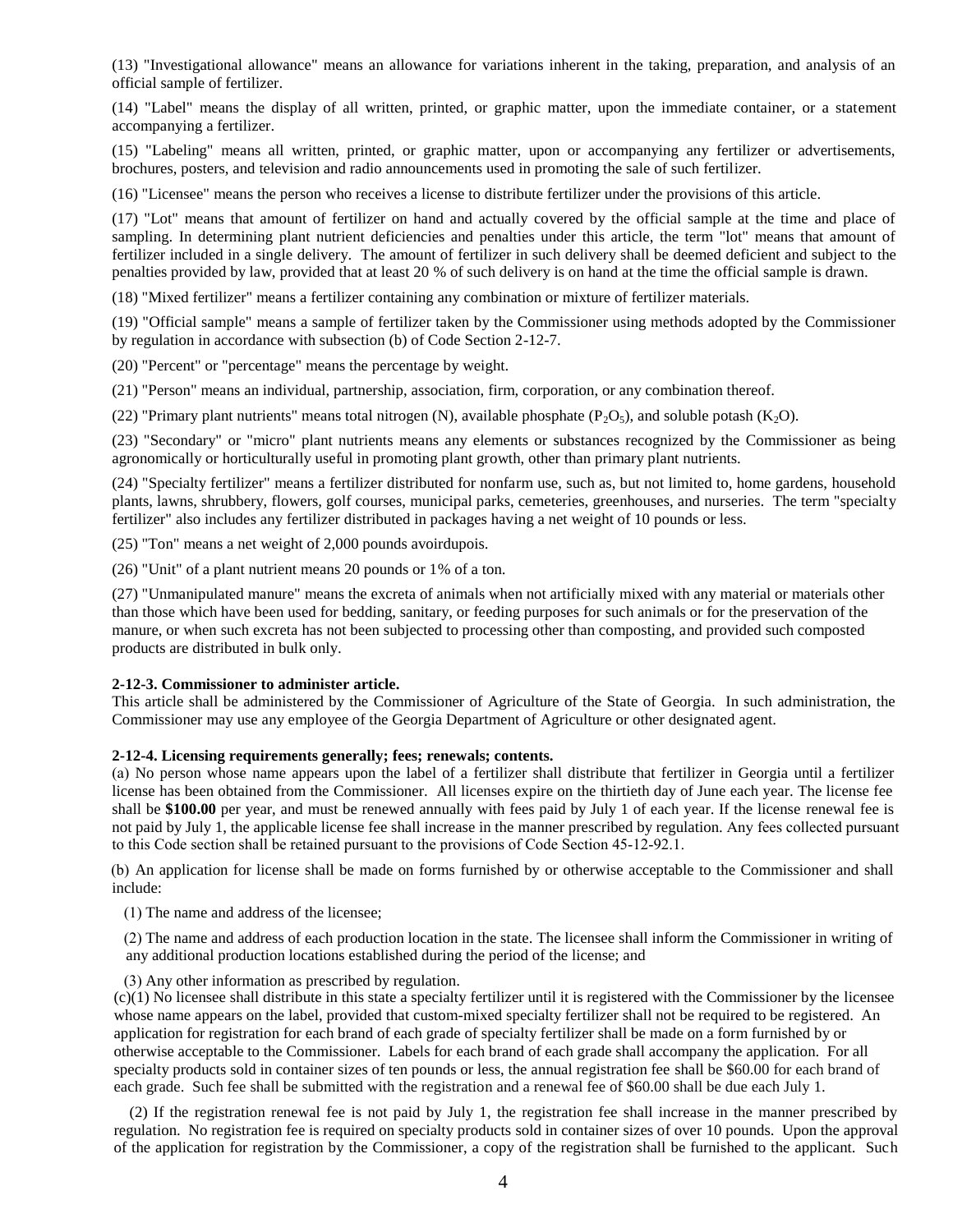(13) "Investigational allowance" means an allowance for variations inherent in the taking, preparation, and analysis of an official sample of fertilizer.

(14) "Label" means the display of all written, printed, or graphic matter, upon the immediate container, or a statement accompanying a fertilizer.

(15) "Labeling" means all written, printed, or graphic matter, upon or accompanying any fertilizer or advertisements, brochures, posters, and television and radio announcements used in promoting the sale of such fertilizer.

(16) "Licensee" means the person who receives a license to distribute fertilizer under the provisions of this article.

(17) "Lot" means that amount of fertilizer on hand and actually covered by the official sample at the time and place of sampling. In determining plant nutrient deficiencies and penalties under this article, the term "lot" means that amount of fertilizer included in a single delivery. The amount of fertilizer in such delivery shall be deemed deficient and subject to the penalties provided by law, provided that at least 20 % of such delivery is on hand at the time the official sample is drawn.

(18) "Mixed fertilizer" means a fertilizer containing any combination or mixture of fertilizer materials.

(19) "Official sample" means a sample of fertilizer taken by the Commissioner using methods adopted by the Commissioner by regulation in accordance with subsection (b) of Code Section 2-12-7.

(20) "Percent" or "percentage" means the percentage by weight.

(21) "Person" means an individual, partnership, association, firm, corporation, or any combination thereof.

(22) "Primary plant nutrients" means total nitrogen (N), available phosphate (P<sub>2</sub>O<sub>5</sub>), and soluble potash (K<sub>2</sub>O).

(23) "Secondary" or "micro" plant nutrients means any elements or substances recognized by the Commissioner as being agronomically or horticulturally useful in promoting plant growth, other than primary plant nutrients.

(24) "Specialty fertilizer" means a fertilizer distributed for nonfarm use, such as, but not limited to, home gardens, household plants, lawns, shrubbery, flowers, golf courses, municipal parks, cemeteries, greenhouses, and nurseries. The term "specialty fertilizer" also includes any fertilizer distributed in packages having a net weight of 10 pounds or less.

(25) "Ton" means a net weight of 2,000 pounds avoirdupois.

(26) "Unit" of a plant nutrient means 20 pounds or 1% of a ton.

(27) "Unmanipulated manure" means the excreta of animals when not artificially mixed with any material or materials other than those which have been used for bedding, sanitary, or feeding purposes for such animals or for the preservation of the manure, or when such excreta has not been subjected to processing other than composting, and provided such composted products are distributed in bulk only.

#### **2-12-3. Commissioner to administer article.**

This article shall be administered by the Commissioner of Agriculture of the State of Georgia. In such administration, the Commissioner may use any employee of the Georgia Department of Agriculture or other designated agent.

#### **2-12-4. Licensing requirements generally; fees; renewals; contents.**

(a) No person whose name appears upon the label of a fertilizer shall distribute that fertilizer in Georgia until a fertilizer license has been obtained from the Commissioner. All licenses expire on the thirtieth day of June each year. The license fee shall be **\$100.00** per year, and must be renewed annually with fees paid by July 1 of each year. If the license renewal fee is not paid by July 1, the applicable license fee shall increase in the manner prescribed by regulation. Any fees collected pursuant to this Code section shall be retained pursuant to the provisions of Code Section 45-12-92.1.

(b) An application for license shall be made on forms furnished by or otherwise acceptable to the Commissioner and shall include:

(1) The name and address of the licensee;

(2) The name and address of each production location in the state. The licensee shall inform the Commissioner in writing of any additional production locations established during the period of the license; and

(3) Any other information as prescribed by regulation.

(c)(1) No licensee shall distribute in this state a specialty fertilizer until it is registered with the Commissioner by the licensee whose name appears on the label, provided that custom-mixed specialty fertilizer shall not be required to be registered. An application for registration for each brand of each grade of specialty fertilizer shall be made on a form furnished by or otherwise acceptable to the Commissioner. Labels for each brand of each grade shall accompany the application. For all specialty products sold in container sizes of ten pounds or less, the annual registration fee shall be \$60.00 for each brand of each grade. Such fee shall be submitted with the registration and a renewal fee of \$60.00 shall be due each July 1.

(2) If the registration renewal fee is not paid by July 1, the registration fee shall increase in the manner prescribed by regulation. No registration fee is required on specialty products sold in container sizes of over 10 pounds. Upon the approval of the application for registration by the Commissioner, a copy of the registration shall be furnished to the applicant. Such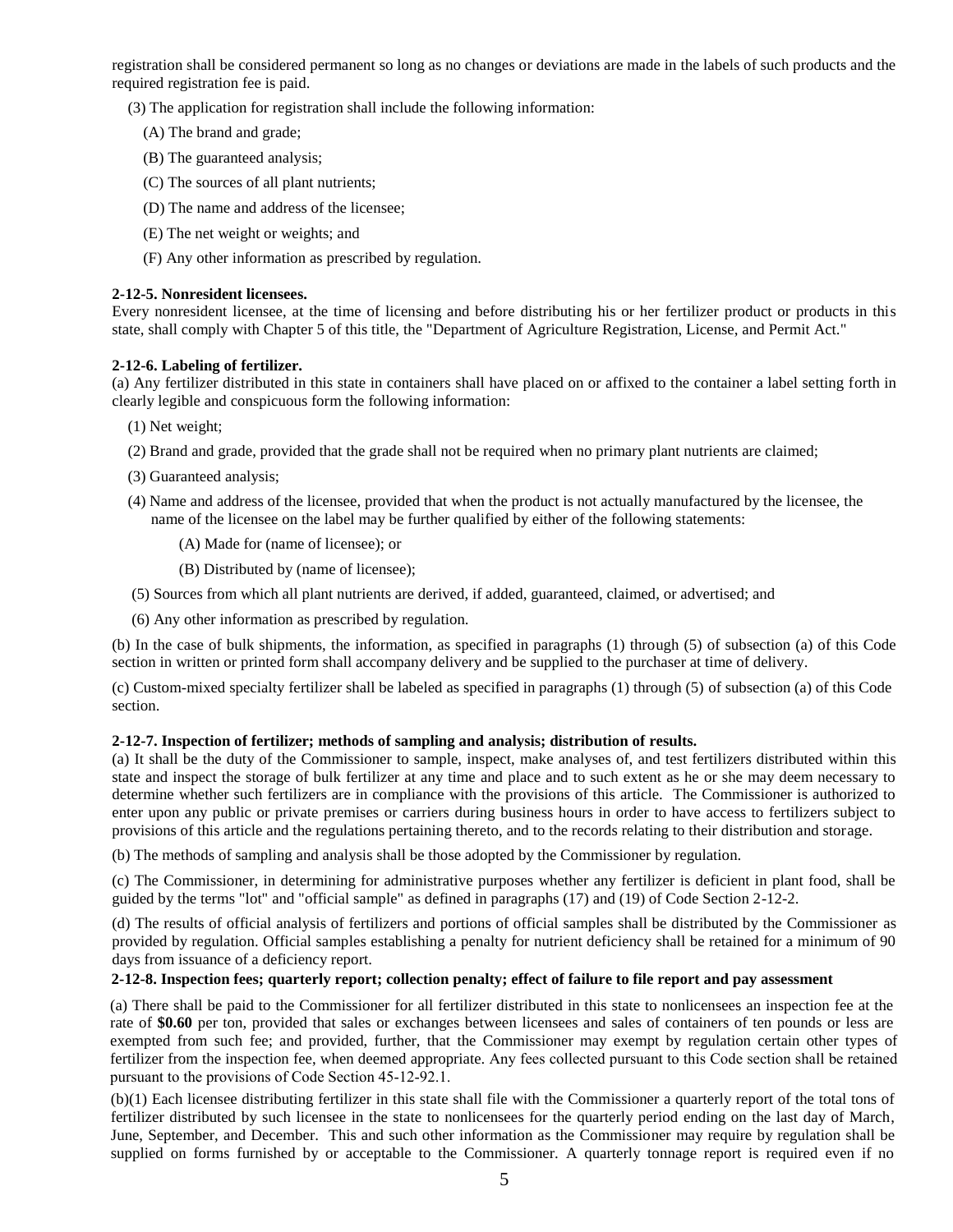registration shall be considered permanent so long as no changes or deviations are made in the labels of such products and the required registration fee is paid.

- (3) The application for registration shall include the following information:
	- (A) The brand and grade;
	- (B) The guaranteed analysis;
	- (C) The sources of all plant nutrients;
	- (D) The name and address of the licensee;
	- (E) The net weight or weights; and
	- (F) Any other information as prescribed by regulation.

#### **2-12-5. Nonresident licensees.**

Every nonresident licensee, at the time of licensing and before distributing his or her fertilizer product or products in this state, shall comply with Chapter 5 of this title, the "Department of Agriculture Registration, License, and Permit Act."

#### **2-12-6. Labeling of fertilizer.**

(a) Any fertilizer distributed in this state in containers shall have placed on or affixed to the container a label setting forth in clearly legible and conspicuous form the following information:

- (1) Net weight;
- (2) Brand and grade, provided that the grade shall not be required when no primary plant nutrients are claimed;
- (3) Guaranteed analysis;
- (4) Name and address of the licensee, provided that when the product is not actually manufactured by the licensee, the name of the licensee on the label may be further qualified by either of the following statements:
	- (A) Made for (name of licensee); or
	- (B) Distributed by (name of licensee);
- (5) Sources from which all plant nutrients are derived, if added, guaranteed, claimed, or advertised; and
- (6) Any other information as prescribed by regulation.

(b) In the case of bulk shipments, the information, as specified in paragraphs (1) through (5) of subsection (a) of this Code section in written or printed form shall accompany delivery and be supplied to the purchaser at time of delivery.

(c) Custom-mixed specialty fertilizer shall be labeled as specified in paragraphs (1) through (5) of subsection (a) of this Code section.

#### **2-12-7. Inspection of fertilizer; methods of sampling and analysis; distribution of results.**

(a) It shall be the duty of the Commissioner to sample, inspect, make analyses of, and test fertilizers distributed within this state and inspect the storage of bulk fertilizer at any time and place and to such extent as he or she may deem necessary to determine whether such fertilizers are in compliance with the provisions of this article. The Commissioner is authorized to enter upon any public or private premises or carriers during business hours in order to have access to fertilizers subject to provisions of this article and the regulations pertaining thereto, and to the records relating to their distribution and storage.

(b) The methods of sampling and analysis shall be those adopted by the Commissioner by regulation.

(c) The Commissioner, in determining for administrative purposes whether any fertilizer is deficient in plant food, shall be guided by the terms "lot" and "official sample" as defined in paragraphs (17) and (19) of Code Section 2-12-2.

(d) The results of official analysis of fertilizers and portions of official samples shall be distributed by the Commissioner as provided by regulation. Official samples establishing a penalty for nutrient deficiency shall be retained for a minimum of 90 days from issuance of a deficiency report.

#### **2-12-8. Inspection fees; quarterly report; collection penalty; effect of failure to file report and pay assessment**

(a) There shall be paid to the Commissioner for all fertilizer distributed in this state to nonlicensees an inspection fee at the rate of **\$0.60** per ton, provided that sales or exchanges between licensees and sales of containers of ten pounds or less are exempted from such fee; and provided, further, that the Commissioner may exempt by regulation certain other types of fertilizer from the inspection fee, when deemed appropriate. Any fees collected pursuant to this Code section shall be retained pursuant to the provisions of Code Section 45-12-92.1.

(b)(1) Each licensee distributing fertilizer in this state shall file with the Commissioner a quarterly report of the total tons of fertilizer distributed by such licensee in the state to nonlicensees for the quarterly period ending on the last day of March, June, September, and December. This and such other information as the Commissioner may require by regulation shall be supplied on forms furnished by or acceptable to the Commissioner. A quarterly tonnage report is required even if no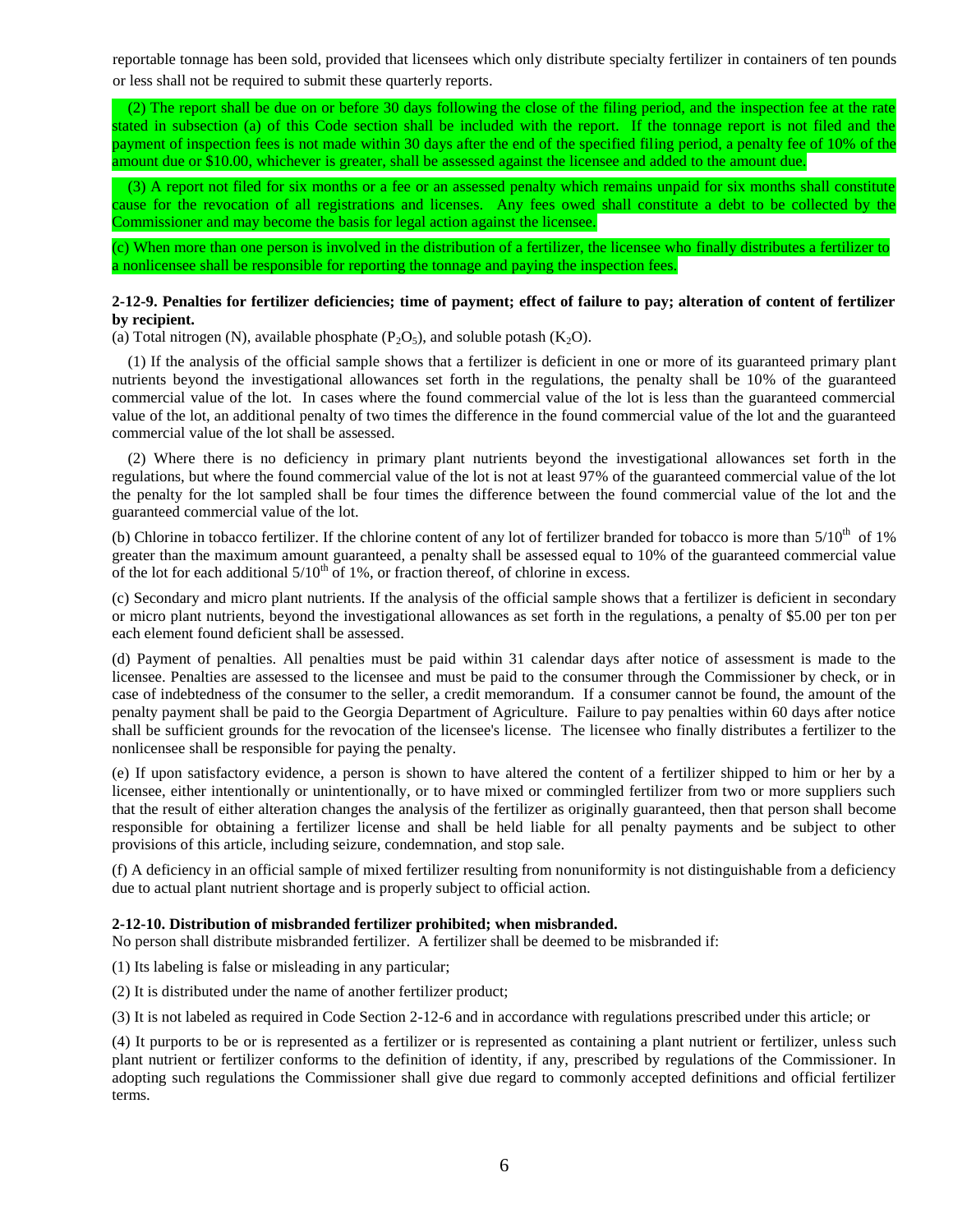reportable tonnage has been sold, provided that licensees which only distribute specialty fertilizer in containers of ten pounds or less shall not be required to submit these quarterly reports.

(2) The report shall be due on or before 30 days following the close of the filing period, and the inspection fee at the rate stated in subsection (a) of this Code section shall be included with the report. If the tonnage report is not filed and the payment of inspection fees is not made within 30 days after the end of the specified filing period, a penalty fee of 10% of the amount due or \$10.00, whichever is greater, shall be assessed against the licensee and added to the amount due.

(3) A report not filed for six months or a fee or an assessed penalty which remains unpaid for six months shall constitute cause for the revocation of all registrations and licenses. Any fees owed shall constitute a debt to be collected by the Commissioner and may become the basis for legal action against the licensee.

(c) When more than one person is involved in the distribution of a fertilizer, the licensee who finally distributes a fertilizer to a nonlicensee shall be responsible for reporting the tonnage and paying the inspection fees.

#### **2-12-9. Penalties for fertilizer deficiencies; time of payment; effect of failure to pay; alteration of content of fertilizer by recipient.**

(a) Total nitrogen (N), available phosphate  $(P_2O_5)$ , and soluble potash  $(K_2O)$ .

(1) If the analysis of the official sample shows that a fertilizer is deficient in one or more of its guaranteed primary plant nutrients beyond the investigational allowances set forth in the regulations, the penalty shall be 10% of the guaranteed commercial value of the lot. In cases where the found commercial value of the lot is less than the guaranteed commercial value of the lot, an additional penalty of two times the difference in the found commercial value of the lot and the guaranteed commercial value of the lot shall be assessed.

(2) Where there is no deficiency in primary plant nutrients beyond the investigational allowances set forth in the regulations, but where the found commercial value of the lot is not at least 97% of the guaranteed commercial value of the lot the penalty for the lot sampled shall be four times the difference between the found commercial value of the lot and the guaranteed commercial value of the lot.

(b) Chlorine in tobacco fertilizer. If the chlorine content of any lot of fertilizer branded for tobacco is more than  $5/10<sup>th</sup>$  of 1% greater than the maximum amount guaranteed, a penalty shall be assessed equal to 10% of the guaranteed commercial value of the lot for each additional  $5/10^{th}$  of 1%, or fraction thereof, of chlorine in excess.

(c) Secondary and micro plant nutrients. If the analysis of the official sample shows that a fertilizer is deficient in secondary or micro plant nutrients, beyond the investigational allowances as set forth in the regulations, a penalty of \$5.00 per ton per each element found deficient shall be assessed.

(d) Payment of penalties. All penalties must be paid within 31 calendar days after notice of assessment is made to the licensee. Penalties are assessed to the licensee and must be paid to the consumer through the Commissioner by check, or in case of indebtedness of the consumer to the seller, a credit memorandum. If a consumer cannot be found, the amount of the penalty payment shall be paid to the Georgia Department of Agriculture. Failure to pay penalties within 60 days after notice shall be sufficient grounds for the revocation of the licensee's license. The licensee who finally distributes a fertilizer to the nonlicensee shall be responsible for paying the penalty.

(e) If upon satisfactory evidence, a person is shown to have altered the content of a fertilizer shipped to him or her by a licensee, either intentionally or unintentionally, or to have mixed or commingled fertilizer from two or more suppliers such that the result of either alteration changes the analysis of the fertilizer as originally guaranteed, then that person shall become responsible for obtaining a fertilizer license and shall be held liable for all penalty payments and be subject to other provisions of this article, including seizure, condemnation, and stop sale.

(f) A deficiency in an official sample of mixed fertilizer resulting from nonuniformity is not distinguishable from a deficiency due to actual plant nutrient shortage and is properly subject to official action.

#### **2-12-10. Distribution of misbranded fertilizer prohibited; when misbranded.**

No person shall distribute misbranded fertilizer. A fertilizer shall be deemed to be misbranded if:

(1) Its labeling is false or misleading in any particular;

(2) It is distributed under the name of another fertilizer product;

(3) It is not labeled as required in Code Section 2-12-6 and in accordance with regulations prescribed under this article; or

(4) It purports to be or is represented as a fertilizer or is represented as containing a plant nutrient or fertilizer, unless such plant nutrient or fertilizer conforms to the definition of identity, if any, prescribed by regulations of the Commissioner. In adopting such regulations the Commissioner shall give due regard to commonly accepted definitions and official fertilizer terms.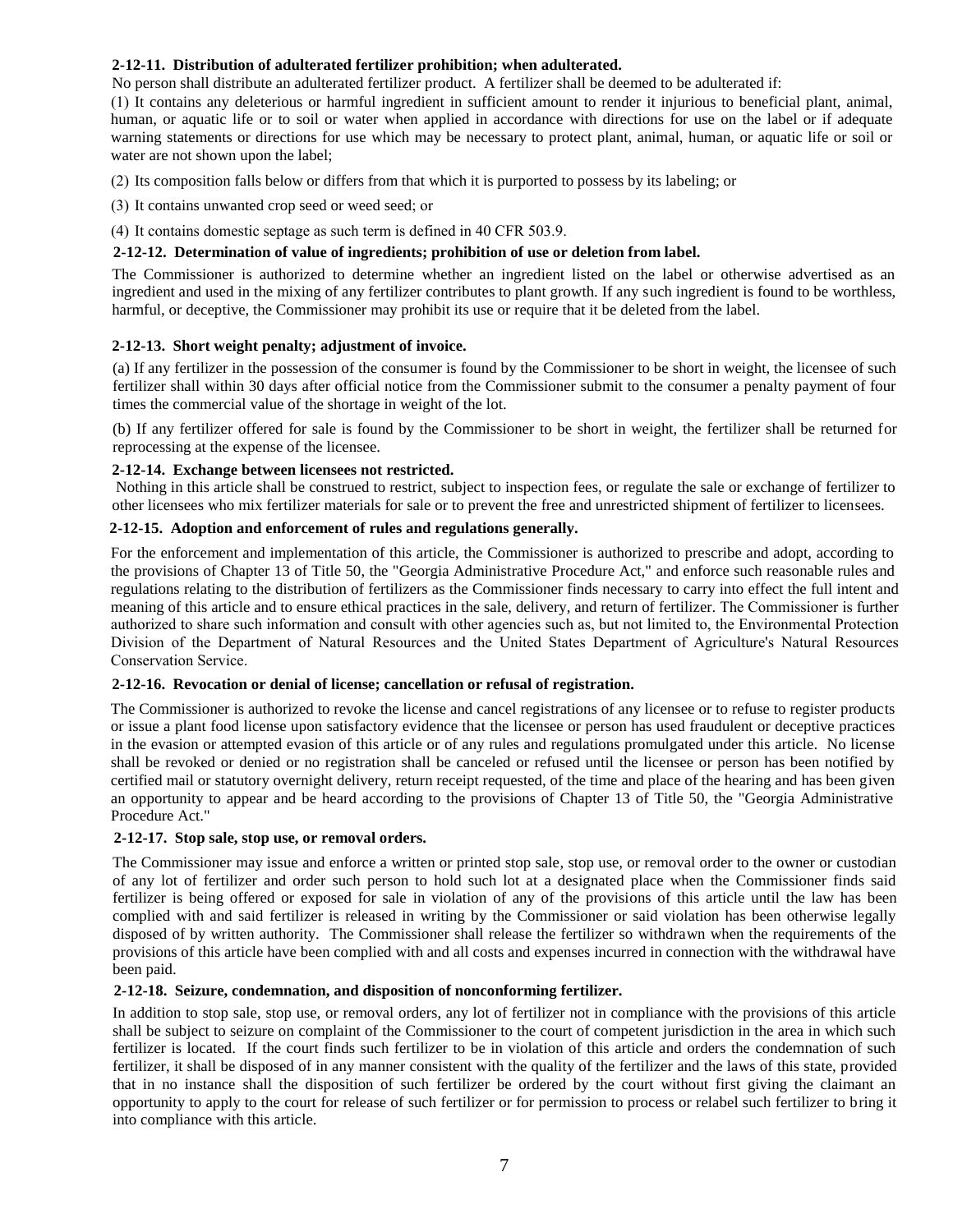#### **2-12-11. Distribution of adulterated fertilizer prohibition; when adulterated.**

No person shall distribute an adulterated fertilizer product. A fertilizer shall be deemed to be adulterated if:

(1) It contains any deleterious or harmful ingredient in sufficient amount to render it injurious to beneficial plant, animal, human, or aquatic life or to soil or water when applied in accordance with directions for use on the label or if adequate warning statements or directions for use which may be necessary to protect plant, animal, human, or aquatic life or soil or water are not shown upon the label;

(2) Its composition falls below or differs from that which it is purported to possess by its labeling; or

(3) It contains unwanted crop seed or weed seed; or

(4) It contains domestic septage as such term is defined in 40 CFR 503.9.

#### **2-12-12. Determination of value of ingredients; prohibition of use or deletion from label.**

The Commissioner is authorized to determine whether an ingredient listed on the label or otherwise advertised as an ingredient and used in the mixing of any fertilizer contributes to plant growth. If any such ingredient is found to be worthless, harmful, or deceptive, the Commissioner may prohibit its use or require that it be deleted from the label.

#### **2-12-13. Short weight penalty; adjustment of invoice.**

(a) If any fertilizer in the possession of the consumer is found by the Commissioner to be short in weight, the licensee of such fertilizer shall within 30 days after official notice from the Commissioner submit to the consumer a penalty payment of four times the commercial value of the shortage in weight of the lot.

(b) If any fertilizer offered for sale is found by the Commissioner to be short in weight, the fertilizer shall be returned for reprocessing at the expense of the licensee.

#### **2-12-14. Exchange between licensees not restricted.**

Nothing in this article shall be construed to restrict, subject to inspection fees, or regulate the sale or exchange of fertilizer to other licensees who mix fertilizer materials for sale or to prevent the free and unrestricted shipment of fertilizer to licensees.

#### **2-12-15. Adoption and enforcement of rules and regulations generally.**

For the enforcement and implementation of this article, the Commissioner is authorized to prescribe and adopt, according to the provisions of Chapter 13 of Title 50, the "Georgia Administrative Procedure Act," and enforce such reasonable rules and regulations relating to the distribution of fertilizers as the Commissioner finds necessary to carry into effect the full intent and meaning of this article and to ensure ethical practices in the sale, delivery, and return of fertilizer. The Commissioner is further authorized to share such information and consult with other agencies such as, but not limited to, the Environmental Protection Division of the Department of Natural Resources and the United States Department of Agriculture's Natural Resources Conservation Service.

#### **2-12-16. Revocation or denial of license; cancellation or refusal of registration.**

The Commissioner is authorized to revoke the license and cancel registrations of any licensee or to refuse to register products or issue a plant food license upon satisfactory evidence that the licensee or person has used fraudulent or deceptive practices in the evasion or attempted evasion of this article or of any rules and regulations promulgated under this article. No license shall be revoked or denied or no registration shall be canceled or refused until the licensee or person has been notified by certified mail or statutory overnight delivery, return receipt requested, of the time and place of the hearing and has been given an opportunity to appear and be heard according to the provisions of Chapter 13 of Title 50, the "Georgia Administrative Procedure Act."

#### **2-12-17. Stop sale, stop use, or removal orders.**

The Commissioner may issue and enforce a written or printed stop sale, stop use, or removal order to the owner or custodian of any lot of fertilizer and order such person to hold such lot at a designated place when the Commissioner finds said fertilizer is being offered or exposed for sale in violation of any of the provisions of this article until the law has been complied with and said fertilizer is released in writing by the Commissioner or said violation has been otherwise legally disposed of by written authority. The Commissioner shall release the fertilizer so withdrawn when the requirements of the provisions of this article have been complied with and all costs and expenses incurred in connection with the withdrawal have been paid.

#### **2-12-18. Seizure, condemnation, and disposition of nonconforming fertilizer.**

In addition to stop sale, stop use, or removal orders, any lot of fertilizer not in compliance with the provisions of this article shall be subject to seizure on complaint of the Commissioner to the court of competent jurisdiction in the area in which such fertilizer is located. If the court finds such fertilizer to be in violation of this article and orders the condemnation of such fertilizer, it shall be disposed of in any manner consistent with the quality of the fertilizer and the laws of this state, provided that in no instance shall the disposition of such fertilizer be ordered by the court without first giving the claimant an opportunity to apply to the court for release of such fertilizer or for permission to process or relabel such fertilizer to bring it into compliance with this article.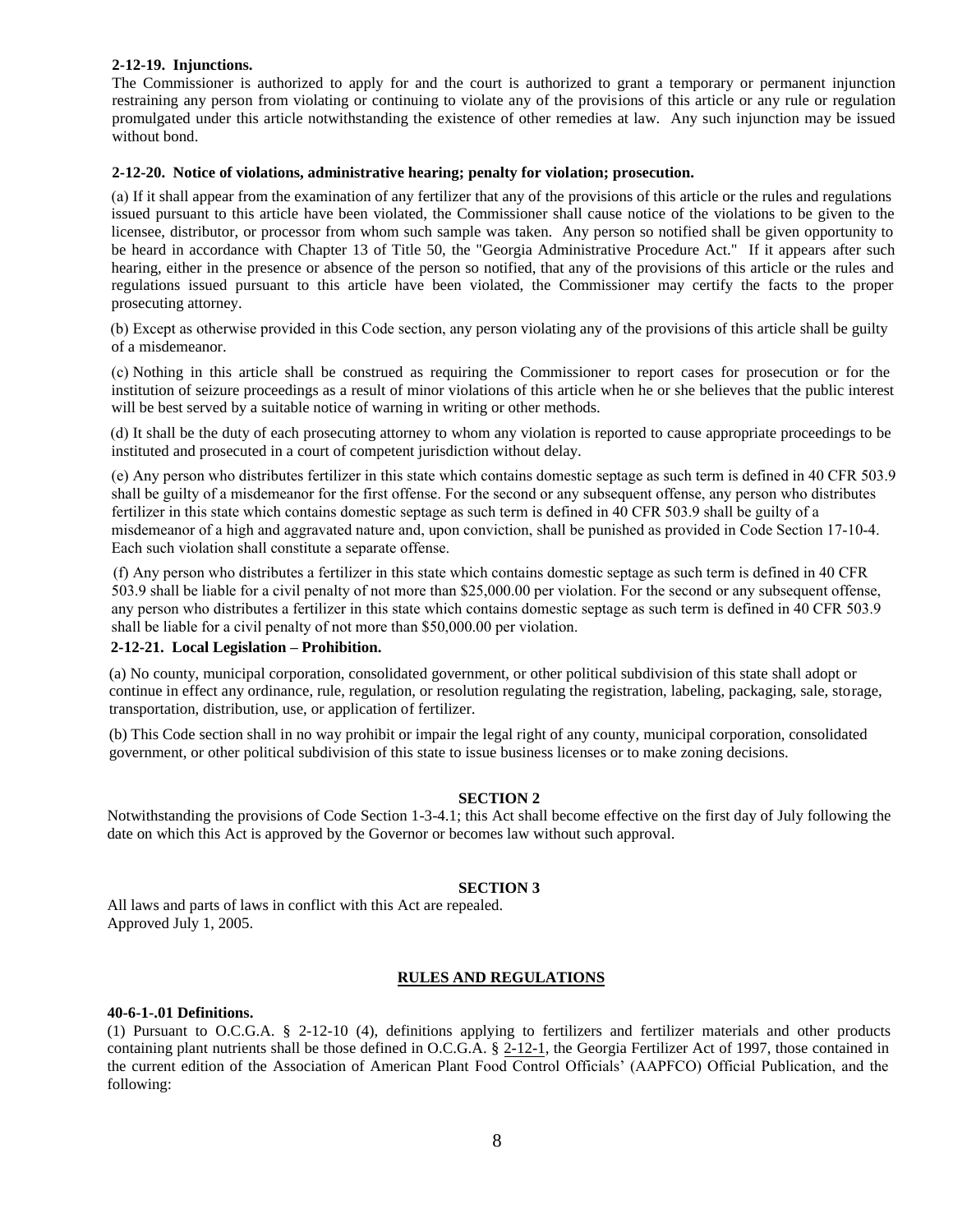#### **2-12-19. Injunctions.**

The Commissioner is authorized to apply for and the court is authorized to grant a temporary or permanent injunction restraining any person from violating or continuing to violate any of the provisions of this article or any rule or regulation promulgated under this article notwithstanding the existence of other remedies at law. Any such injunction may be issued without bond.

#### **2-12-20. Notice of violations, administrative hearing; penalty for violation; prosecution.**

(a) If it shall appear from the examination of any fertilizer that any of the provisions of this article or the rules and regulations issued pursuant to this article have been violated, the Commissioner shall cause notice of the violations to be given to the licensee, distributor, or processor from whom such sample was taken. Any person so notified shall be given opportunity to be heard in accordance with Chapter 13 of Title 50, the "Georgia Administrative Procedure Act." If it appears after such hearing, either in the presence or absence of the person so notified, that any of the provisions of this article or the rules and regulations issued pursuant to this article have been violated, the Commissioner may certify the facts to the proper prosecuting attorney.

(b) Except as otherwise provided in this Code section, any person violating any of the provisions of this article shall be guilty of a misdemeanor.

(c) Nothing in this article shall be construed as requiring the Commissioner to report cases for prosecution or for the institution of seizure proceedings as a result of minor violations of this article when he or she believes that the public interest will be best served by a suitable notice of warning in writing or other methods.

(d) It shall be the duty of each prosecuting attorney to whom any violation is reported to cause appropriate proceedings to be instituted and prosecuted in a court of competent jurisdiction without delay.

(e) Any person who distributes fertilizer in this state which contains domestic septage as such term is defined in 40 CFR 503.9 shall be guilty of a misdemeanor for the first offense. For the second or any subsequent offense, any person who distributes fertilizer in this state which contains domestic septage as such term is defined in 40 CFR 503.9 shall be guilty of a misdemeanor of a high and aggravated nature and, upon conviction, shall be punished as provided in Code Section 17-10-4. Each such violation shall constitute a separate offense.

(f) Any person who distributes a fertilizer in this state which contains domestic septage as such term is defined in 40 CFR 503.9 shall be liable for a civil penalty of not more than \$25,000.00 per violation. For the second or any subsequent offense, any person who distributes a fertilizer in this state which contains domestic septage as such term is defined in 40 CFR 503.9 shall be liable for a civil penalty of not more than \$50,000.00 per violation.

#### **2-12-21. Local Legislation – Prohibition.**

(a) No county, municipal corporation, consolidated government, or other political subdivision of this state shall adopt or continue in effect any ordinance, rule, regulation, or resolution regulating the registration, labeling, packaging, sale, storage, transportation, distribution, use, or application of fertilizer.

(b) This Code section shall in no way prohibit or impair the legal right of any county, municipal corporation, consolidated government, or other political subdivision of this state to issue business licenses or to make zoning decisions.

#### **SECTION 2**

Notwithstanding the provisions of Code Section 1-3-4.1; this Act shall become effective on the first day of July following the date on which this Act is approved by the Governor or becomes law without such approval.

#### **SECTION 3**

All laws and parts of laws in conflict with this Act are repealed. Approved July 1, 2005.

#### **RULES AND REGULATIONS**

#### **40-6-1-.01 Definitions.**

(1) Pursuant to O.C.G.A. § 2-12-10 (4), definitions applying to fertilizers and fertilizer materials and other products containing plant nutrients shall be those defined in O.C.G.A. § [2-12-1,](http://www.ganet.org/cgi-bin/pub/ocode/ocgsearch?docname=OCode/G/2/12/1) the Georgia Fertilizer Act of 1997, those contained in the current edition of the Association of American Plant Food Control Officials' (AAPFCO) Official Publication, and the following: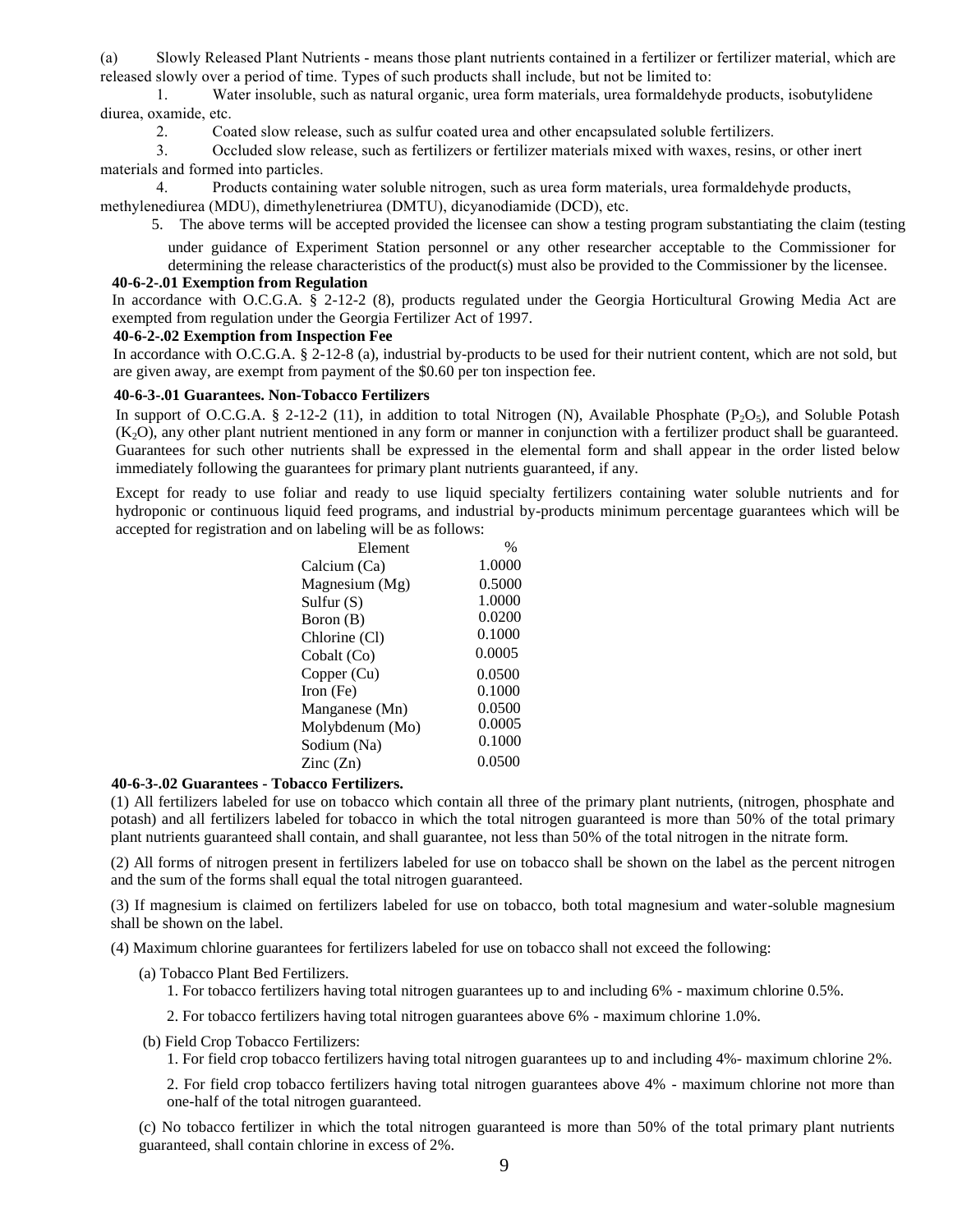(a) Slowly Released Plant Nutrients - means those plant nutrients contained in a fertilizer or fertilizer material, which are released slowly over a period of time. Types of such products shall include, but not be limited to:

1. Water insoluble, such as natural organic, urea form materials, urea formaldehyde products, isobutylidene diurea, oxamide, etc.

2. Coated slow release, such as sulfur coated urea and other encapsulated soluble fertilizers.

 3. Occluded slow release, such as fertilizers or fertilizer materials mixed with waxes, resins, or other inert materials and formed into particles.

 4. Products containing water soluble nitrogen, such as urea form materials, urea formaldehyde products, methylenediurea (MDU), dimethylenetriurea (DMTU), dicyanodiamide (DCD), etc.

5. The above terms will be accepted provided the licensee can show a testing program substantiating the claim (testing

under guidance of Experiment Station personnel or any other researcher acceptable to the Commissioner for determining the release characteristics of the product(s) must also be provided to the Commissioner by the licensee.

#### **40-6-2-.01 Exemption from Regulation**

In accordance with O.C.G.A. § 2-12-2 (8), products regulated under the Georgia Horticultural Growing Media Act are exempted from regulation under the Georgia Fertilizer Act of 1997.

#### **40-6-2-.02 Exemption from Inspection Fee**

In accordance with O.C.G.A. § 2-12-8 (a), industrial by-products to be used for their nutrient content, which are not sold, but are given away, are exempt from payment of the \$0.60 per ton inspection fee.

#### **40-6-3-.01 Guarantees. Non-Tobacco Fertilizers**

In support of O.C.G.A. § 2-12-2 (11), in addition to total Nitrogen (N), Available Phosphate (P<sub>2</sub>O<sub>5</sub>), and Soluble Potash  $(K<sub>2</sub>O)$ , any other plant nutrient mentioned in any form or manner in conjunction with a fertilizer product shall be guaranteed. Guarantees for such other nutrients shall be expressed in the elemental form and shall appear in the order listed below immediately following the guarantees for primary plant nutrients guaranteed, if any.

Except for ready to use foliar and ready to use liquid specialty fertilizers containing water soluble nutrients and for hydroponic or continuous liquid feed programs, and industrial by-products minimum percentage guarantees which will be accepted for registration and on labeling will be as follows:

| $\%$   |
|--------|
| 1.0000 |
| 0.5000 |
| 1.0000 |
| 0.0200 |
| 0.1000 |
| 0.0005 |
| 0.0500 |
| 0.1000 |
| 0.0500 |
| 0.0005 |
| 0.1000 |
| 0.0500 |
|        |

#### **40-6-3-.02 Guarantees - Tobacco Fertilizers.**

(1) All fertilizers labeled for use on tobacco which contain all three of the primary plant nutrients, (nitrogen, phosphate and potash) and all fertilizers labeled for tobacco in which the total nitrogen guaranteed is more than 50% of the total primary plant nutrients guaranteed shall contain, and shall guarantee, not less than 50% of the total nitrogen in the nitrate form.

(2) All forms of nitrogen present in fertilizers labeled for use on tobacco shall be shown on the label as the percent nitrogen and the sum of the forms shall equal the total nitrogen guaranteed.

(3) If magnesium is claimed on fertilizers labeled for use on tobacco, both total magnesium and water-soluble magnesium shall be shown on the label.

(4) Maximum chlorine guarantees for fertilizers labeled for use on tobacco shall not exceed the following:

(a) Tobacco Plant Bed Fertilizers.

1. For tobacco fertilizers having total nitrogen guarantees up to and including 6% - maximum chlorine 0.5%.

- 2. For tobacco fertilizers having total nitrogen guarantees above 6% maximum chlorine 1.0%.
- (b) Field Crop Tobacco Fertilizers:

1. For field crop tobacco fertilizers having total nitrogen guarantees up to and including 4%- maximum chlorine 2%.

2. For field crop tobacco fertilizers having total nitrogen guarantees above 4% - maximum chlorine not more than one-half of the total nitrogen guaranteed.

(c) No tobacco fertilizer in which the total nitrogen guaranteed is more than 50% of the total primary plant nutrients guaranteed, shall contain chlorine in excess of 2%.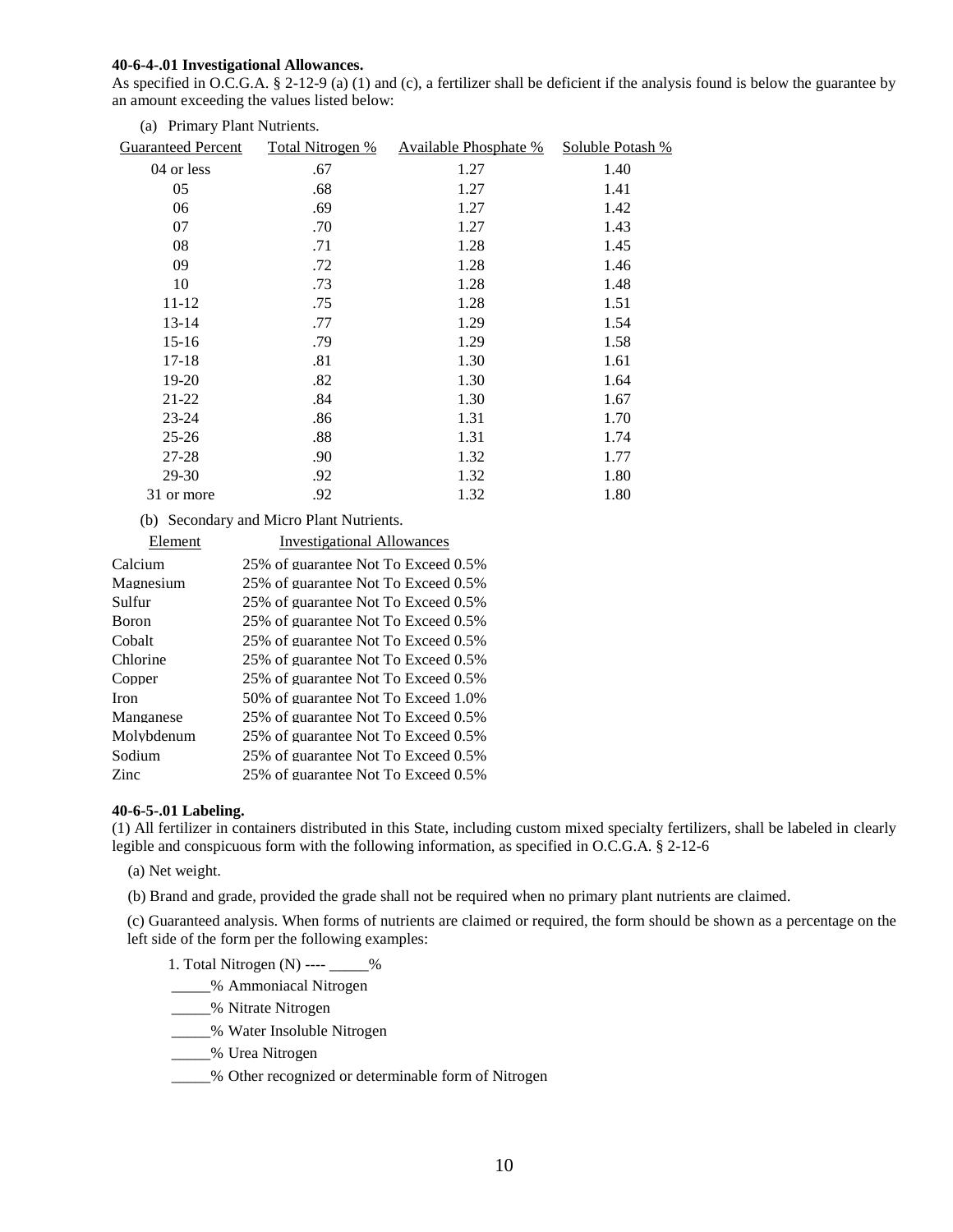#### **40-6-4-.01 Investigational Allowances.**

As specified in O.C.G.A. § 2-12-9 (a) (1) and (c), a fertilizer shall be deficient if the analysis found is below the guarantee by an amount exceeding the values listed below:

| (a) Primary Plant Nutrients. |                  |                              |                  |
|------------------------------|------------------|------------------------------|------------------|
| <b>Guaranteed Percent</b>    | Total Nitrogen % | <b>Available Phosphate %</b> | Soluble Potash % |
| 04 or less                   | .67              | 1.27                         | 1.40             |
| 05                           | .68              | 1.27                         | 1.41             |
| 06                           | .69              | 1.27                         | 1.42             |
| 07                           | .70              | 1.27                         | 1.43             |
| 08                           | .71              | 1.28                         | 1.45             |
| 09                           | .72              | 1.28                         | 1.46             |
| 10                           | .73              | 1.28                         | 1.48             |
| 11-12                        | .75              | 1.28                         | 1.51             |
| $13 - 14$                    | .77              | 1.29                         | 1.54             |
| $15 - 16$                    | .79              | 1.29                         | 1.58             |
| $17 - 18$                    | .81              | 1.30                         | 1.61             |
| $19-20$                      | .82              | 1.30                         | 1.64             |
| 21-22                        | .84              | 1.30                         | 1.67             |
| $23 - 24$                    | .86              | 1.31                         | 1.70             |
| $25 - 26$                    | .88              | 1.31                         | 1.74             |
| $27 - 28$                    | .90              | 1.32                         | 1.77             |
| 29-30                        | .92              | 1.32                         | 1.80             |
| 31 or more                   | .92              | 1.32                         | 1.80             |

(b) Secondary and Micro Plant Nutrients.

| <b>Investigational Allowances</b>   |
|-------------------------------------|
| 25% of guarantee Not To Exceed 0.5% |
| 25% of guarantee Not To Exceed 0.5% |
| 25% of guarantee Not To Exceed 0.5% |
| 25% of guarantee Not To Exceed 0.5% |
| 25% of guarantee Not To Exceed 0.5% |
| 25% of guarantee Not To Exceed 0.5% |
| 25% of guarantee Not To Exceed 0.5% |
| 50% of guarantee Not To Exceed 1.0% |
| 25% of guarantee Not To Exceed 0.5% |
| 25% of guarantee Not To Exceed 0.5% |
| 25% of guarantee Not To Exceed 0.5% |
| 25% of guarantee Not To Exceed 0.5% |
|                                     |

#### **40-6-5-.01 Labeling.**

(1) All fertilizer in containers distributed in this State, including custom mixed specialty fertilizers, shall be labeled in clearly legible and conspicuous form with the following information, as specified in O.C.G.A. § 2-12-6

- (a) Net weight.
- (b) Brand and grade, provided the grade shall not be required when no primary plant nutrients are claimed.

(c) Guaranteed analysis. When forms of nutrients are claimed or required, the form should be shown as a percentage on the left side of the form per the following examples:

- 1. Total Nitrogen (N) ---- \_\_\_\_\_%
- \_\_\_\_\_% Ammoniacal Nitrogen
- \_\_\_\_% Nitrate Nitrogen
- \_\_\_\_% Water Insoluble Nitrogen
- \_\_\_\_\_% Urea Nitrogen
- \_\_\_\_\_% Other recognized or determinable form of Nitrogen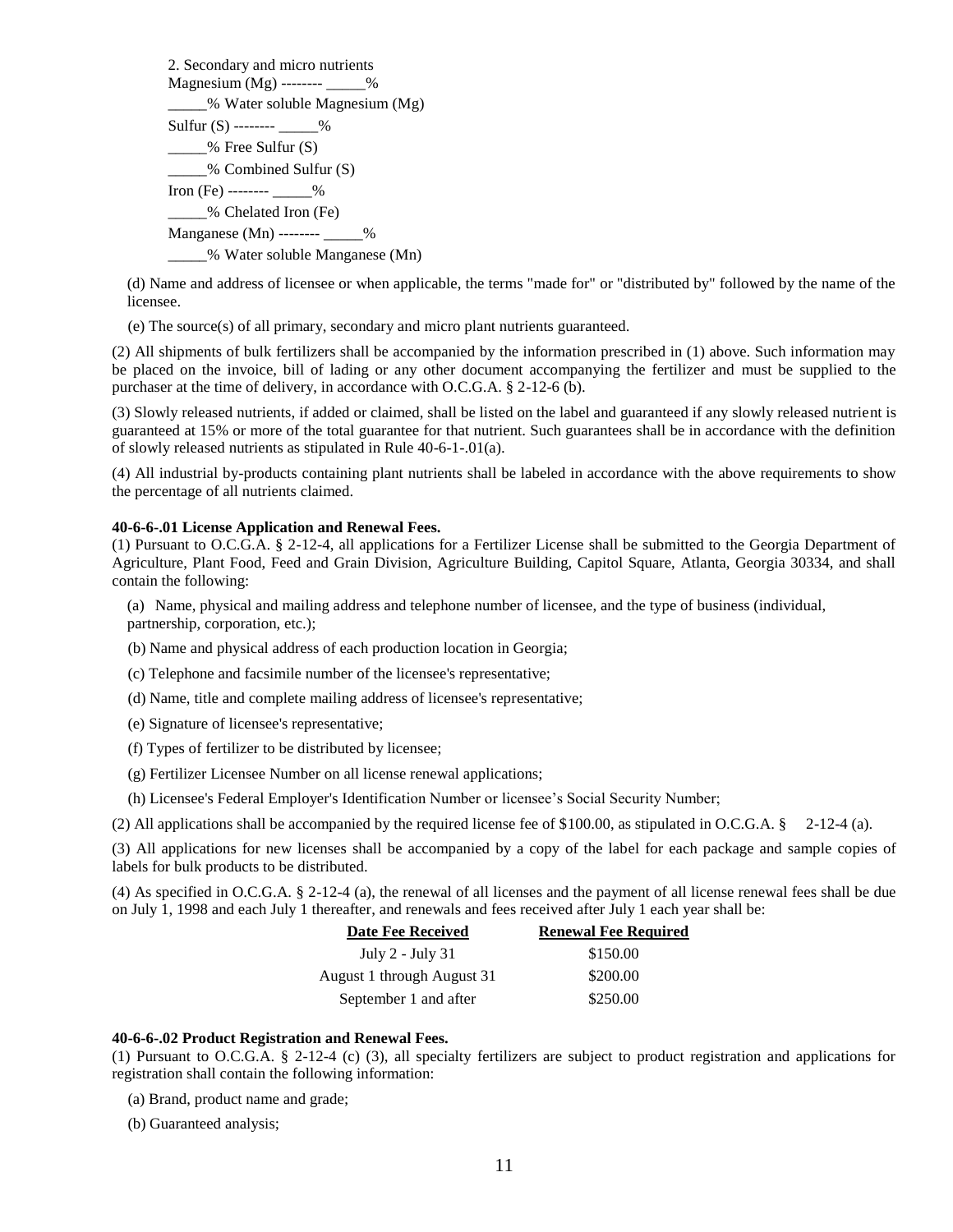2. Secondary and micro nutrients Magnesium (Mg) -------- \_\_\_\_\_%  $\_\_\%$  Water soluble Magnesium (Mg) Sulfur  $(S)$  -------- %  $\frac{1}{2}$  % Free Sulfur (S) \_\_\_\_\_% Combined Sulfur (S)  $\text{Iron (Fe)} \text{---} \qquad \frac{9}{6}$ \_\_\_\_\_% Chelated Iron (Fe) Manganese (Mn) -------- \_\_\_\_\_% \_\_\_\_\_% Water soluble Manganese (Mn)

(d) Name and address of licensee or when applicable, the terms "made for" or "distributed by" followed by the name of the licensee.

(e) The source(s) of all primary, secondary and micro plant nutrients guaranteed.

(2) All shipments of bulk fertilizers shall be accompanied by the information prescribed in (1) above. Such information may be placed on the invoice, bill of lading or any other document accompanying the fertilizer and must be supplied to the purchaser at the time of delivery, in accordance with O.C.G.A. § 2-12-6 (b).

(3) Slowly released nutrients, if added or claimed, shall be listed on the label and guaranteed if any slowly released nutrient is guaranteed at 15% or more of the total guarantee for that nutrient. Such guarantees shall be in accordance with the definition of slowly released nutrients as stipulated in Rule 40-6-1-.01(a).

(4) All industrial by-products containing plant nutrients shall be labeled in accordance with the above requirements to show the percentage of all nutrients claimed.

#### **40-6-6-.01 License Application and Renewal Fees.**

(1) Pursuant to O.C.G.A. § 2-12-4, all applications for a Fertilizer License shall be submitted to the Georgia Department of Agriculture, Plant Food, Feed and Grain Division, Agriculture Building, Capitol Square, Atlanta, Georgia 30334, and shall contain the following:

(a) Name, physical and mailing address and telephone number of licensee, and the type of business (individual, partnership, corporation, etc.);

(b) Name and physical address of each production location in Georgia;

(c) Telephone and facsimile number of the licensee's representative;

(d) Name, title and complete mailing address of licensee's representative;

(e) Signature of licensee's representative;

(f) Types of fertilizer to be distributed by licensee;

(g) Fertilizer Licensee Number on all license renewal applications;

(h) Licensee's Federal Employer's Identification Number or licensee's Social Security Number;

(2) All applications shall be accompanied by the required license fee of \$100.00, as stipulated in O.C.G.A. § 2-12-4 (a).

(3) All applications for new licenses shall be accompanied by a copy of the label for each package and sample copies of labels for bulk products to be distributed.

(4) As specified in O.C.G.A. § 2-12-4 (a), the renewal of all licenses and the payment of all license renewal fees shall be due on July 1, 1998 and each July 1 thereafter, and renewals and fees received after July 1 each year shall be:

| <b>Date Fee Received</b>   | <b>Renewal Fee Required</b> |
|----------------------------|-----------------------------|
| July 2 - July 31           | \$150.00                    |
| August 1 through August 31 | \$200.00                    |
| September 1 and after      | \$250.00                    |

#### **40-6-6-.02 Product Registration and Renewal Fees.**

(1) Pursuant to O.C.G.A. § 2-12-4 (c) (3), all specialty fertilizers are subject to product registration and applications for registration shall contain the following information:

(a) Brand, product name and grade;

(b) Guaranteed analysis;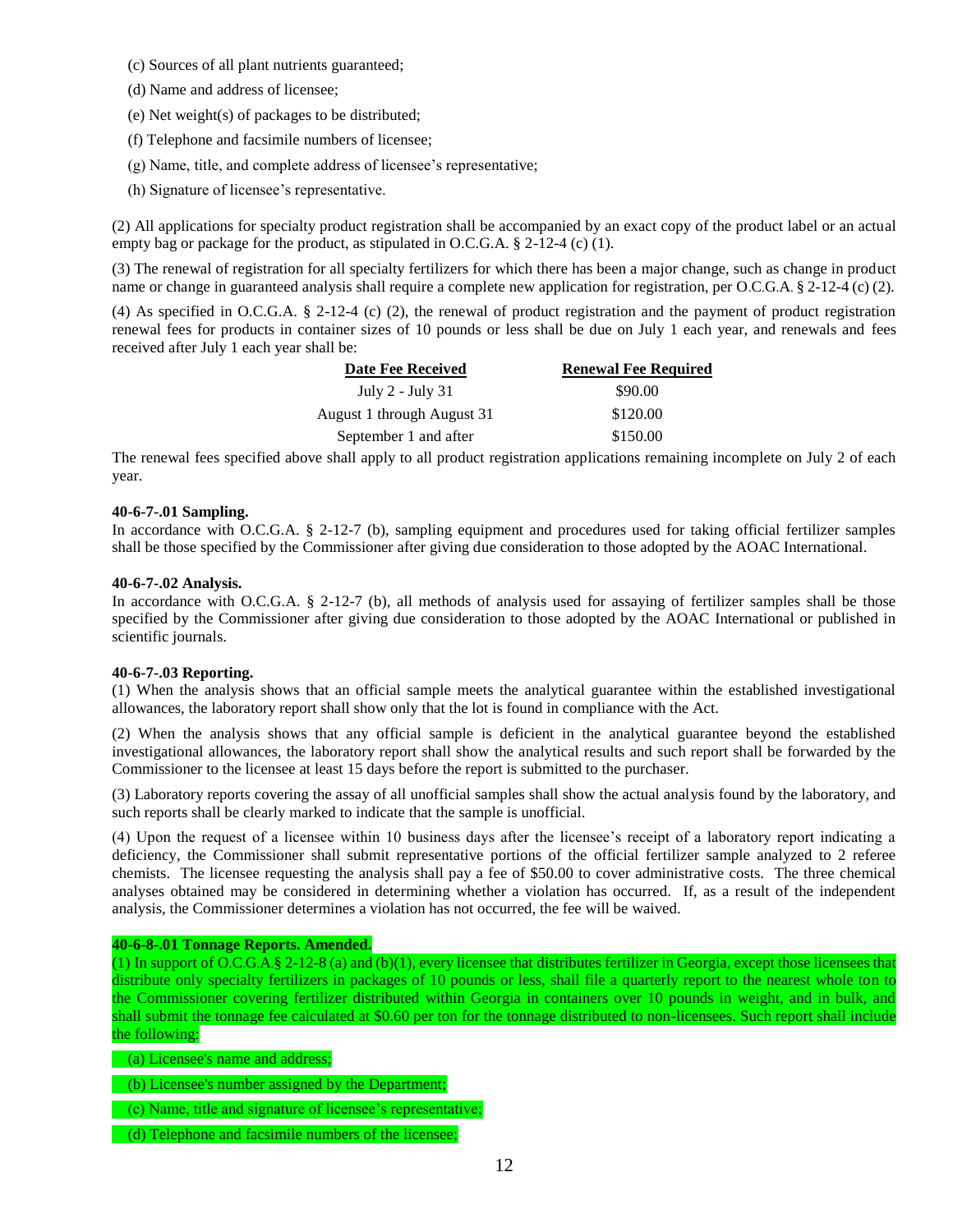- (c) Sources of all plant nutrients guaranteed;
- (d) Name and address of licensee;
- (e) Net weight(s) of packages to be distributed;
- (f) Telephone and facsimile numbers of licensee;
- (g) Name, title, and complete address of licensee's representative;
- (h) Signature of licensee's representative.

(2) All applications for specialty product registration shall be accompanied by an exact copy of the product label or an actual empty bag or package for the product, as stipulated in O.C.G.A.  $\S$  2-12-4 (c) (1).

(3) The renewal of registration for all specialty fertilizers for which there has been a major change, such as change in product name or change in guaranteed analysis shall require a complete new application for registration, per O.C.G.A. § 2-12-4 (c) (2).

(4) As specified in O.C.G.A. § 2-12-4 (c) (2), the renewal of product registration and the payment of product registration renewal fees for products in container sizes of 10 pounds or less shall be due on July 1 each year, and renewals and fees received after July 1 each year shall be:

| <b>Renewal Fee Required</b> |
|-----------------------------|
| \$90.00                     |
| \$120.00                    |
| \$150.00                    |
|                             |

The renewal fees specified above shall apply to all product registration applications remaining incomplete on July 2 of each year.

#### **40-6-7-.01 Sampling.**

In accordance with O.C.G.A. § 2-12-7 (b), sampling equipment and procedures used for taking official fertilizer samples shall be those specified by the Commissioner after giving due consideration to those adopted by the AOAC International.

#### **40-6-7-.02 Analysis.**

In accordance with O.C.G.A. § 2-12-7 (b), all methods of analysis used for assaying of fertilizer samples shall be those specified by the Commissioner after giving due consideration to those adopted by the AOAC International or published in scientific journals.

#### **40-6-7-.03 Reporting.**

(1) When the analysis shows that an official sample meets the analytical guarantee within the established investigational allowances, the laboratory report shall show only that the lot is found in compliance with the Act.

(2) When the analysis shows that any official sample is deficient in the analytical guarantee beyond the established investigational allowances, the laboratory report shall show the analytical results and such report shall be forwarded by the Commissioner to the licensee at least 15 days before the report is submitted to the purchaser.

(3) Laboratory reports covering the assay of all unofficial samples shall show the actual analysis found by the laboratory, and such reports shall be clearly marked to indicate that the sample is unofficial.

(4) Upon the request of a licensee within 10 business days after the licensee's receipt of a laboratory report indicating a deficiency, the Commissioner shall submit representative portions of the official fertilizer sample analyzed to 2 referee chemists. The licensee requesting the analysis shall pay a fee of \$50.00 to cover administrative costs. The three chemical analyses obtained may be considered in determining whether a violation has occurred. If, as a result of the independent analysis, the Commissioner determines a violation has not occurred, the fee will be waived.

#### **40-6-8-.01 Tonnage Reports. Amended.**

(1) In support of O.C.G.A.§ 2-12-8 (a) and (b)(1), every licensee that distributes fertilizer in Georgia, except those licensees that distribute only specialty fertilizers in packages of 10 pounds or less, shall file a quarterly report to the nearest whole ton to the Commissioner covering fertilizer distributed within Georgia in containers over 10 pounds in weight, and in bulk, and shall submit the tonnage fee calculated at \$0.60 per ton for the tonnage distributed to non-licensees. Such report shall include the following:

(a) Licensee's name and address;

- (b) Licensee's number assigned by the Department;
- (c) Name, title and signature of licensee's representative;
- (d) Telephone and facsimile numbers of the licensee;